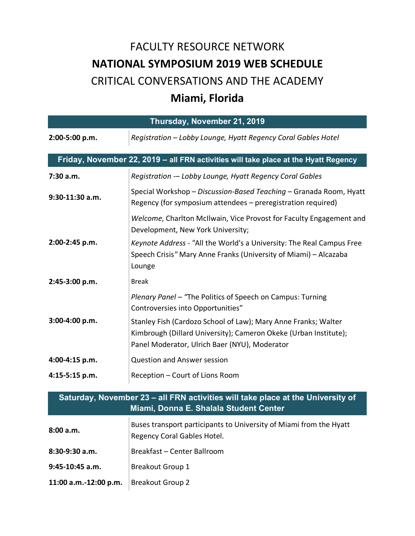## FACULTY RESOURCE NETWORK **NATIONAL SYMPOSIUM 2019 WEB SCHEDULE** CRITICAL CONVERSATIONS AND THE ACADEMY **Miami, Florida**

| Thursday, November 21, 2019                                                                                               |                                                                                                                                                                                     |  |
|---------------------------------------------------------------------------------------------------------------------------|-------------------------------------------------------------------------------------------------------------------------------------------------------------------------------------|--|
| 2:00-5:00 p.m.                                                                                                            | Registration - Lobby Lounge, Hyatt Regency Coral Gables Hotel                                                                                                                       |  |
| Friday, November 22, 2019 - all FRN activities will take place at the Hyatt Regency                                       |                                                                                                                                                                                     |  |
| 7:30 a.m.                                                                                                                 | Registration -- Lobby Lounge, Hyatt Regency Coral Gables                                                                                                                            |  |
| 9:30-11:30 a.m.                                                                                                           | Special Workshop - Discussion-Based Teaching - Granada Room, Hyatt<br>Regency (for symposium attendees – preregistration required)                                                  |  |
|                                                                                                                           | Welcome, Charlton McIlwain, Vice Provost for Faculty Engagement and<br>Development, New York University;                                                                            |  |
| 2:00-2:45 p.m.                                                                                                            | Keynote Address - "All the World's a University: The Real Campus Free<br>Speech Crisis" Mary Anne Franks (University of Miami) - Alcazaba<br>Lounge                                 |  |
| 2:45-3:00 p.m.                                                                                                            | <b>Break</b>                                                                                                                                                                        |  |
|                                                                                                                           | Plenary Panel - "The Politics of Speech on Campus: Turning<br>Controversies into Opportunities"                                                                                     |  |
| 3:00-4:00 p.m.                                                                                                            | Stanley Fish (Cardozo School of Law); Mary Anne Franks; Walter<br>Kimbrough (Dillard University); Cameron Okeke (Urban Institute);<br>Panel Moderator, Ulrich Baer (NYU), Moderator |  |
| 4:00-4:15 p.m.                                                                                                            | <b>Question and Answer session</b>                                                                                                                                                  |  |
| 4:15-5:15 p.m.                                                                                                            | Reception - Court of Lions Room                                                                                                                                                     |  |
| Saturday, November 23 - all FRN activities will take place at the University of<br>Miami, Donna E. Shalala Student Center |                                                                                                                                                                                     |  |

| 8:00 a.m.             | Buses transport participants to University of Miami from the Hyatt<br>Regency Coral Gables Hotel. |
|-----------------------|---------------------------------------------------------------------------------------------------|
| 8:30-9:30 a.m.        | Breakfast - Center Ballroom                                                                       |
| 9:45-10:45 a.m.       | <b>Breakout Group 1</b>                                                                           |
| 11:00 a.m.-12:00 p.m. | <b>Breakout Group 2</b>                                                                           |